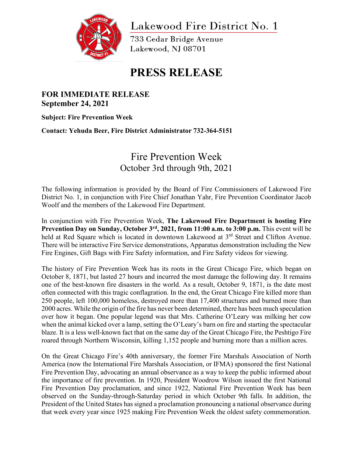

Lakewood Fire District No. 1

733 Cedar Bridge Avenue Lakewood, NJ 08701

## **PRESS RELEASE**

## **FOR IMMEDIATE RELEASE September 24, 2021**

**Subject: Fire Prevention Week**

**Contact: Yehuda Beer, Fire District Administrator 732-364-5151**

## Fire Prevention Week October 3rd through 9th, 2021

The following information is provided by the Board of Fire Commissioners of Lakewood Fire District No. 1, in conjunction with Fire Chief Jonathan Yahr, Fire Prevention Coordinator Jacob Woolf and the members of the Lakewood Fire Department.

In conjunction with Fire Prevention Week, **The Lakewood Fire Department is hosting Fire Prevention Day on Sunday, October 3rd, 2021, from 11:00 a.m. to 3:00 p.m.** This event will be held at Red Square which is located in downtown Lakewood at 3<sup>rd</sup> Street and Clifton Avenue. There will be interactive Fire Service demonstrations, Apparatus demonstration including the New Fire Engines, Gift Bags with Fire Safety information, and Fire Safety videos for viewing.

The history of Fire Prevention Week has its roots in the Great Chicago Fire, which began on October 8, 1871, but lasted 27 hours and incurred the most damage the following day. It remains one of the best-known fire disasters in the world. As a result, October 9, 1871, is the date most often connected with this tragic conflagration. In the end, the Great Chicago Fire killed more than 250 people, left 100,000 homeless, destroyed more than 17,400 structures and burned more than 2000 acres. While the origin of the fire has never been determined, there has been much speculation over how it began. One popular legend was that Mrs. Catherine O'Leary was milking her cow when the animal kicked over a lamp, setting the O'Leary's barn on fire and starting the spectacular blaze. It is a less well-known fact that on the same day of the Great Chicago Fire, the Peshtigo Fire roared through Northern Wisconsin, killing 1,152 people and burning more than a million acres.

On the Great Chicago Fire's 40th anniversary, the former Fire Marshals Association of North America (now the International Fire Marshals Association, or IFMA) sponsored the first National Fire Prevention Day, advocating an annual observance as a way to keep the public informed about the importance of fire prevention. In 1920, President Woodrow Wilson issued the first National Fire Prevention Day proclamation, and since 1922, National Fire Prevention Week has been observed on the Sunday-through-Saturday period in which October 9th falls. In addition, the President of the United States has signed a proclamation pronouncing a national observance during that week every year since 1925 making Fire Prevention Week the oldest safety commemoration.